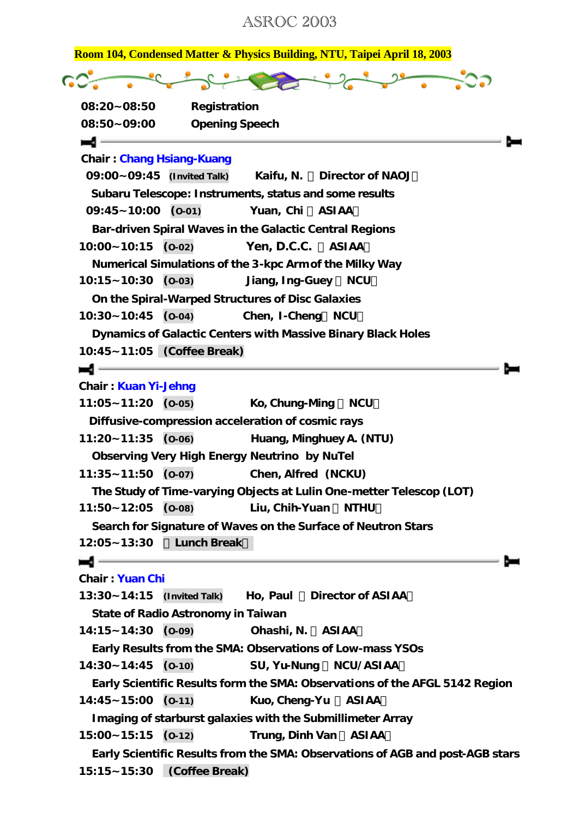ASROC 2003

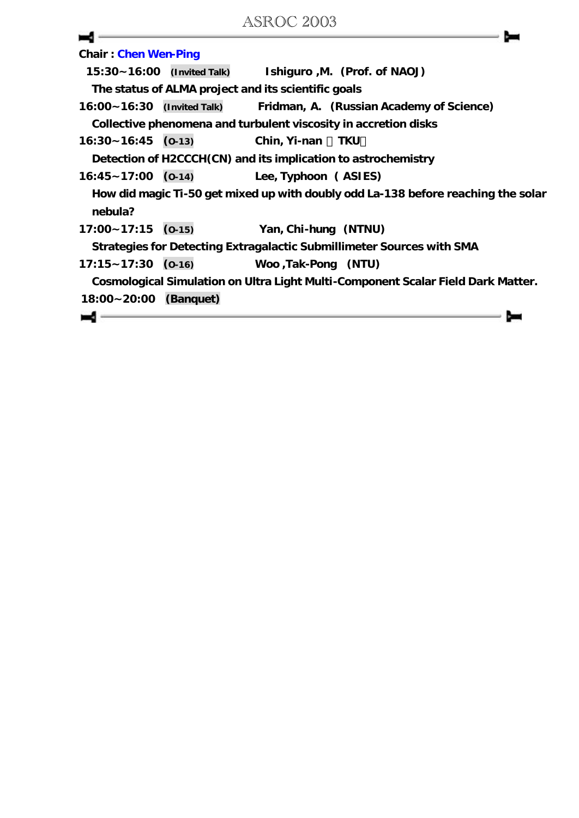| <b>Chair: Chen Wen-Ping</b> |                                                                                   |                                          |     |  |
|-----------------------------|-----------------------------------------------------------------------------------|------------------------------------------|-----|--|
| 15:30~16:00 (Invited Talk)  |                                                                                   | Ishiguro , M. (Prof. of NAOJ)            |     |  |
|                             | The status of ALMA project and its scientific goals                               |                                          |     |  |
|                             | $16:00 - 16:30$ (Invited Talk)                                                    | Fridman, A. (Russian Academy of Science) |     |  |
|                             | Collective phenomena and turbulent viscosity in accretion disks                   |                                          |     |  |
| $16:30 - 16:45$ (0-13)      |                                                                                   | Chin, Yi-nan                             | TKU |  |
|                             | Detection of H2CCCH(CN) and its implication to astrochemistry                     |                                          |     |  |
| $16:45 - 17:00$ (0-14)      |                                                                                   | Lee, Typhoon (ASIES)                     |     |  |
| nebula?                     | How did magic Ti-50 get mixed up with doubly odd La-138 before reaching the solar |                                          |     |  |
| $17:00 - 17:15$ (0-15)      |                                                                                   | Yan, Chi-hung (NTNU)                     |     |  |
|                             | Strategies for Detecting Extragalactic Submillimeter Sources with SMA             |                                          |     |  |
| $17:15 - 17:30$ (0-16)      |                                                                                   | Woo, Tak-Pong (NTU)                      |     |  |
|                             | Cosmological Simulation on Ultra Light Multi-Component Scalar Field Dark Matter.  |                                          |     |  |
| 18:00~20:00 (Banquet)       |                                                                                   |                                          |     |  |
|                             |                                                                                   |                                          |     |  |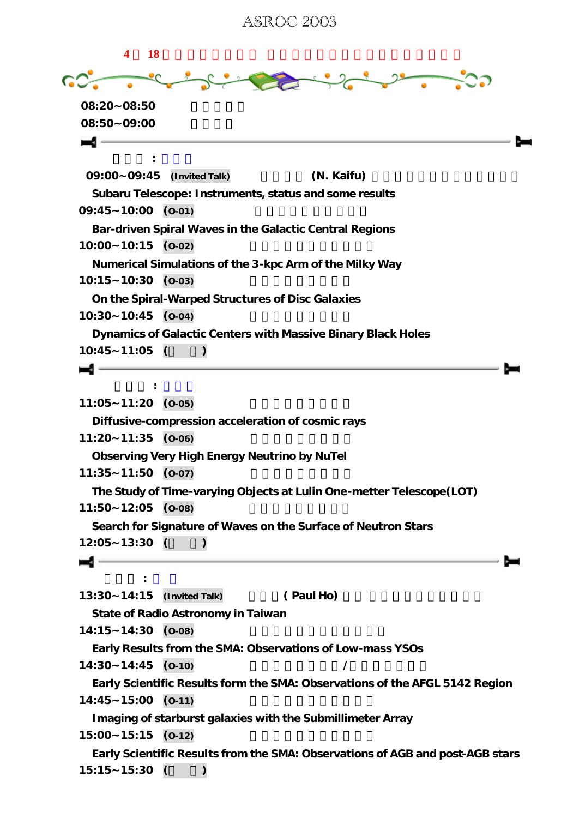ASROC 2003

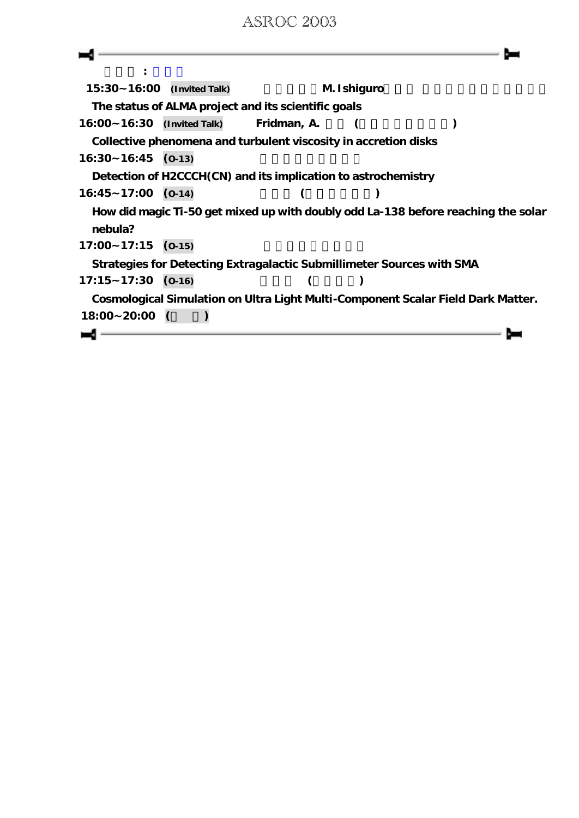## ASROC 2003

| $15:30 - 16:00$ (Invited Talk)                                                   |          |                                                                       | M. Ishiguro |                                                                                   |
|----------------------------------------------------------------------------------|----------|-----------------------------------------------------------------------|-------------|-----------------------------------------------------------------------------------|
|                                                                                  |          | The status of ALMA project and its scientific goals                   |             |                                                                                   |
| 16:00~16:30 (Invited Talk)                                                       |          | Fridman, A.                                                           |             |                                                                                   |
|                                                                                  |          | Collective phenomena and turbulent viscosity in accretion disks       |             |                                                                                   |
| $16:30 - 16:45$ (0-13)                                                           |          |                                                                       |             |                                                                                   |
|                                                                                  |          | Detection of H2CCCH(CN) and its implication to astrochemistry         |             |                                                                                   |
| $16:45 - 17:00$ (0-14)                                                           |          |                                                                       |             |                                                                                   |
| nebula?                                                                          |          |                                                                       |             | How did magic Ti-50 get mixed up with doubly odd La-138 before reaching the solar |
| $17:00 - 17:15$                                                                  | $(O-15)$ |                                                                       |             |                                                                                   |
|                                                                                  |          | Strategies for Detecting Extragalactic Submillimeter Sources with SMA |             |                                                                                   |
| $17:15 - 17:30$ (0-16)                                                           |          |                                                                       |             |                                                                                   |
|                                                                                  |          |                                                                       |             |                                                                                   |
| Cosmological Simulation on Ultra Light Multi-Component Scalar Field Dark Matter. |          |                                                                       |             |                                                                                   |